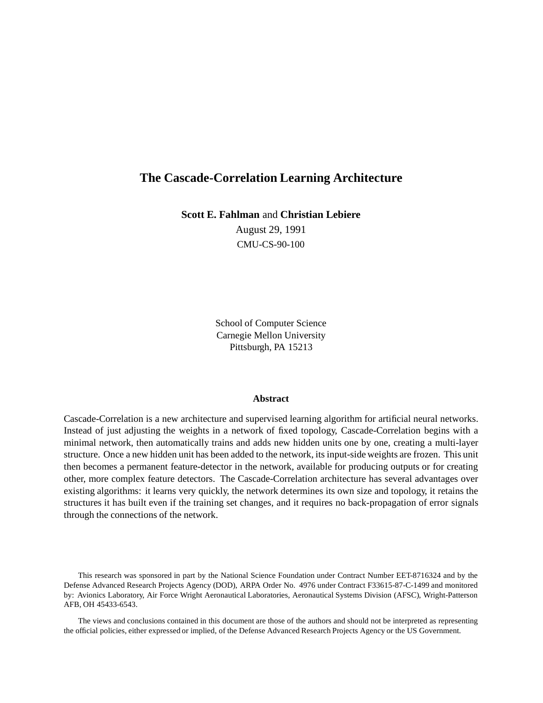# **The Cascade-Correlation Learning Architecture**

**Scott E. Fahlman** and **Christian Lebiere** August 29, 1991

CMU-CS-90-100

School of Computer Science Carnegie Mellon University Pittsburgh, PA 15213

#### **Abstract**

Cascade-Correlation is a new architecture and supervised learning algorithm for artificial neural networks. Instead of just adjusting the weights in a network of fixed topology, Cascade-Correlation begins with a minimal network, then automatically trains and adds new hidden units one by one, creating a multi-layer structure. Once a new hidden unit has been added to the network, its input-side weights are frozen. This unit then becomes a permanent feature-detector in the network, available for producing outputs or for creating other, more complex feature detectors. The Cascade-Correlation architecture has several advantages over existing algorithms: it learns very quickly, the network determines its own size and topology, it retains the structures it has built even if the training set changes, and it requires no back-propagation of error signals through the connections of the network.

This research was sponsored in part by the National Science Foundation under Contract Number EET-8716324 and by the Defense Advanced Research Projects Agency (DOD), ARPA Order No. 4976 under Contract F33615-87-C-1499 and monitored by: Avionics Laboratory, Air Force Wright Aeronautical Laboratories, Aeronautical Systems Division (AFSC), Wright-Patterson AFB, OH 45433-6543.

The views and conclusions contained in this document are those of the authors and should not be interpreted as representing the official policies, either expressed or implied, of the Defense Advanced Research Projects Agency or the US Government.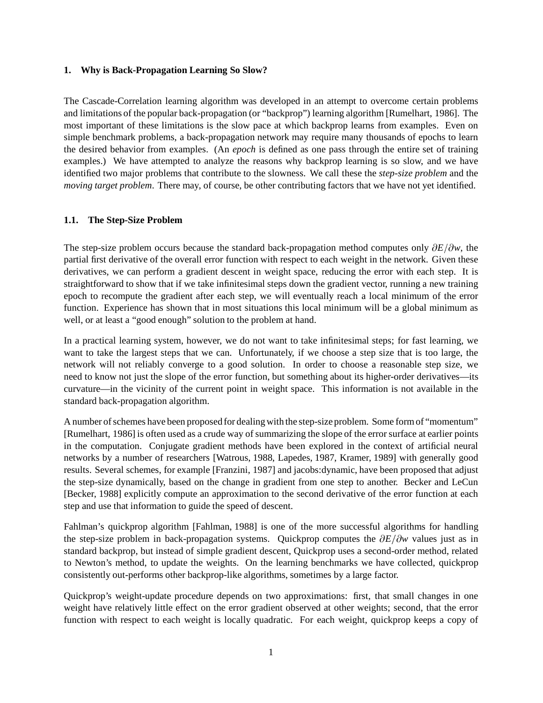#### **1. Why is Back-Propagation Learning So Slow?**

The Cascade-Correlation learning algorithm was developed in an attempt to overcome certain problems and limitations of the popular back-propagation (or "backprop") learning algorithm [Rumelhart, 1986]. The most important of these limitations is the slow pace at which backprop learns from examples. Even on simple benchmark problems, a back-propagation network may require many thousands of epochs to learn the desired behavior from examples. (An *epoch* is defined as one pass through the entire set of training examples.) We have attempted to analyze the reasons why backprop learning is so slow, and we have identified two major problems that contribute to the slowness. We call these the *step-size problem* and the *moving target problem*. There may, of course, be other contributing factors that we have not yet identified.

#### **1.1. The Step-Size Problem**

The step-size problem occurs because the standard back-propagation method computes only  $\partial E/\partial w$ , the partial first derivative of the overall error function with respect to each weight in the network. Given these derivatives, we can perform a gradient descent in weight space, reducing the error with each step. It is straightforward to show that if we take infinitesimal steps down the gradient vector, running a new training epoch to recompute the gradient after each step, we will eventually reach a local minimum of the error function. Experience has shown that in most situations this local minimum will be a global minimum as well, or at least a "good enough" solution to the problem at hand.

In a practical learning system, however, we do not want to take infinitesimal steps; for fast learning, we want to take the largest steps that we can. Unfortunately, if we choose a step size that is too large, the network will not reliably converge to a good solution. In order to choose a reasonable step size, we need to know not just the slope of the error function, but something about its higher-order derivatives—its curvature—in the vicinity of the current point in weight space. This information is not available in the standard back-propagation algorithm.

A number ofschemes have been proposed for dealingwith the step-size problem. Some formof "momentum" [Rumelhart, 1986] is often used as a crude way of summarizing the slope of the error surface at earlier points in the computation. Conjugate gradient methods have been explored in the context of artificial neural networks by a number of researchers [Watrous, 1988, Lapedes, 1987, Kramer, 1989] with generally good results. Several schemes, for example [Franzini, 1987] and jacobs:dynamic, have been proposed that adjust the step-size dynamically, based on the change in gradient from one step to another. Becker and LeCun [Becker, 1988] explicitly compute an approximation to the second derivative of the error function at each step and use that information to guide the speed of descent.

Fahlman's quickprop algorithm [Fahlman, 1988] is one of the more successful algorithms for handling the step-size problem in back-propagation systems. Quickprop computes the  $\partial E/\partial w$  values just as in standard backprop, but instead of simple gradient descent, Quickprop uses a second-order method, related to Newton's method, to update the weights. On the learning benchmarks we have collected, quickprop consistently out-performs other backprop-like algorithms, sometimes by a large factor.

Quickprop's weight-update procedure depends on two approximations: first, that small changes in one weight have relatively little effect on the error gradient observed at other weights; second, that the error function with respect to each weight is locally quadratic. For each weight, quickprop keeps a copy of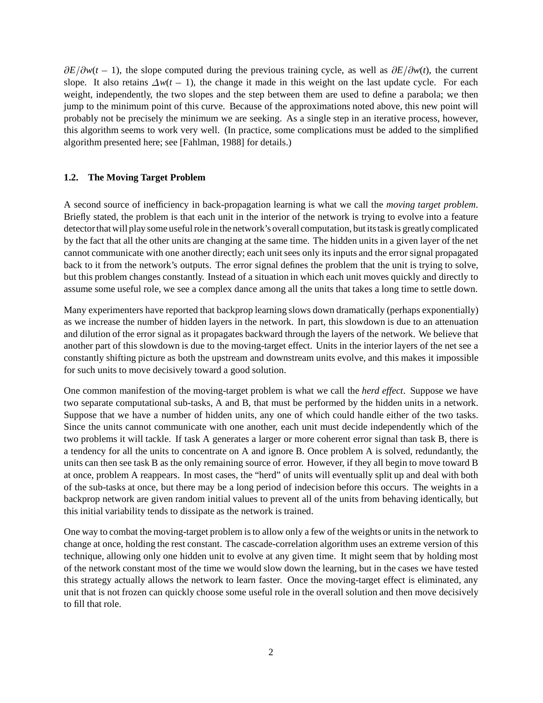$\partial E/\partial w(t-1)$ , the slope computed during the previous training cycle, as well as  $\partial E/\partial w(t)$ , the current slope. It also retains  $\Delta w(t-1)$ , the change it made in this weight on the last update cycle. For each weight, independently, the two slopes and the step between them are used to define a parabola; we then jump to the minimum point of this curve. Because of the approximations noted above, this new point will probably not be precisely the minimum we are seeking. As a single step in an iterative process, however, this algorithm seems to work very well. (In practice, some complications must be added to the simplified algorithm presented here; see [Fahlman, 1988] for details.)

#### **1.2. The Moving Target Problem**

A second source of inefficiency in back-propagation learning is what we call the *moving target problem*. Briefly stated, the problem is that each unit in the interior of the network is trying to evolve into a feature detector that will play some useful role in the network's overall computation, but its task is greatly complicated by the fact that all the other units are changing at the same time. The hidden unitsin a given layer of the net cannot communicate with one another directly; each unitsees only itsinputs and the error signal propagated back to it from the network's outputs. The error signal defines the problem that the unit is trying to solve, but this problem changes constantly. Instead of a situation in which each unit moves quickly and directly to assume some useful role, we see a complex dance among all the units that takes a long time to settle down.

Many experimenters have reported that backprop learning slows down dramatically (perhaps exponentially) as we increase the number of hidden layers in the network. In part, this slowdown is due to an attenuation and dilution of the error signal as it propagates backward through the layers of the network. We believe that another part of this slowdown is due to the moving-target effect. Units in the interior layers of the net see a constantly shifting picture as both the upstream and downstream units evolve, and this makes it impossible for such units to move decisively toward a good solution.

One common manifestion of the moving-target problem is what we call the *herd effect*. Suppose we have two separate computational sub-tasks, A and B, that must be performed by the hidden units in a network. Suppose that we have a number of hidden units, any one of which could handle either of the two tasks. Since the units cannot communicate with one another, each unit must decide independently which of the two problems it will tackle. If task A generates a larger or more coherent error signal than task B, there is a tendency for all the units to concentrate on A and ignore B. Once problem A is solved, redundantly, the units can then see task B as the only remaining source of error. However, if they all begin to move toward B at once, problem A reappears. In most cases, the "herd" of units will eventually split up and deal with both of the sub-tasks at once, but there may be a long period of indecision before this occurs. The weights in a backprop network are given random initial values to prevent all of the units from behaving identically, but this initial variability tends to dissipate as the network is trained.

One way to combat the moving-target problem isto allow only a few of the weights or unitsin the network to change at once, holding the rest constant. The cascade-correlation algorithm uses an extreme version of this technique, allowing only one hidden unit to evolve at any given time. It might seem that by holding most of the network constant most of the time we would slow down the learning, but in the cases we have tested this strategy actually allows the network to learn faster. Once the moving-target effect is eliminated, any unit that is not frozen can quickly choose some useful role in the overall solution and then move decisively to fill that role.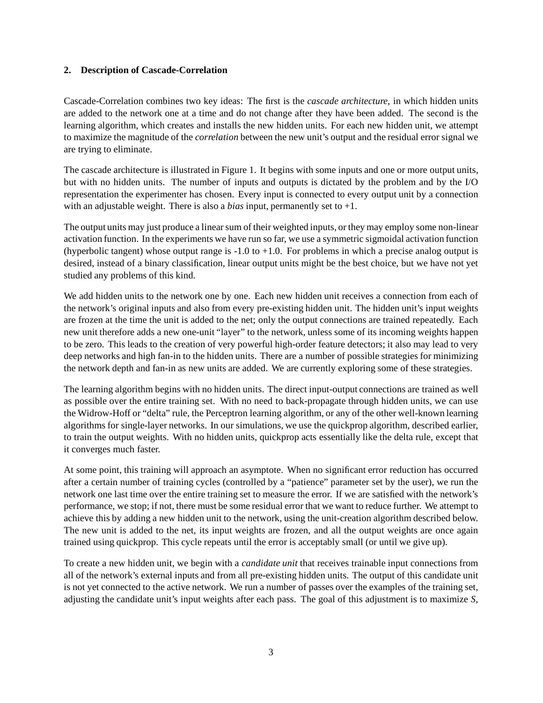#### **2. Description of Cascade-Correlation**

Cascade-Correlation combines two key ideas: The first is the *cascade architecture*, in which hidden units are added to the network one at a time and do not change after they have been added. The second is the learning algorithm, which creates and installs the new hidden units. For each new hidden unit, we attempt to maximize the magnitude of the *correlation* between the new unit's output and the residual error signal we are trying to eliminate.

The cascade architecture is illustrated in Figure 1. It begins with some inputs and one or more output units, but with no hidden units. The number of inputs and outputs is dictated by the problem and by the I/O representation the experimenter has chosen. Every input is connected to every output unit by a connection with an adjustable weight. There is also a *bias* input, permanently set to +1.

The output units may just produce a linear sum of their weighted inputs, or they may employ some non-linear activation function. In the experiments we have run so far, we use a symmetric sigmoidal activation function (hyperbolic tangent) whose output range is  $-1.0$  to  $+1.0$ . For problems in which a precise analog output is desired, instead of a binary classification, linear output units might be the best choice, but we have not yet studied any problems of this kind.

We add hidden units to the network one by one. Each new hidden unit receives a connection from each of the network's original inputs and also from every pre-existing hidden unit. The hidden unit's input weights are frozen at the time the unit is added to the net; only the output connections are trained repeatedly. Each new unit therefore adds a new one-unit "layer" to the network, unless some of its incoming weights happen to be zero. This leads to the creation of very powerful high-order feature detectors; it also may lead to very deep networks and high fan-in to the hidden units. There are a number of possible strategies for minimizing the network depth and fan-in as new units are added. We are currently exploring some of these strategies.

The learning algorithm begins with no hidden units. The direct input-output connections are trained as well as possible over the entire training set. With no need to back-propagate through hidden units, we can use the Widrow-Hoff or "delta" rule, the Perceptron learning algorithm, or any of the other well-known learning algorithms for single-layer networks. In our simulations, we use the quickprop algorithm, described earlier, to train the output weights. With no hidden units, quickprop acts essentially like the delta rule, except that it converges much faster.

At some point, this training will approach an asymptote. When no significant error reduction has occurred after a certain number of training cycles (controlled by a "patience" parameter set by the user), we run the network one last time over the entire training set to measure the error. If we are satisfied with the network's performance, we stop; if not, there must be some residual error that we want to reduce further. We attempt to achieve this by adding a new hidden unit to the network, using the unit-creation algorithm described below. The new unit is added to the net, its input weights are frozen, and all the output weights are once again trained using quickprop. This cycle repeats until the error is acceptably small (or until we give up).

To create a new hidden unit, we begin with a *candidate unit* that receives trainable input connections from all of the network's external inputs and from all pre-existing hidden units. The output of this candidate unit is not yet connected to the active network. We run a number of passes over the examples of the training set, adjusting the candidate unit's input weights after each pass. The goal of this adjustment is to maximize *S*,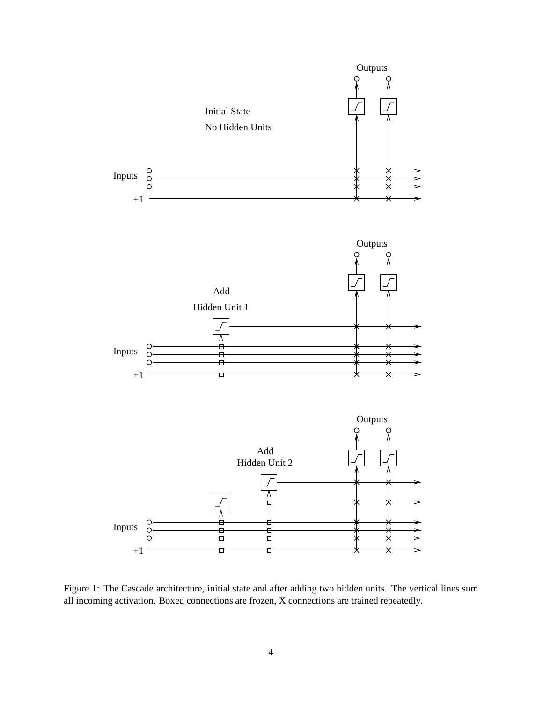

Figure 1: The Cascade architecture, initial state and after adding two hidden units. The vertical lines sum all incoming activation. Boxed connections are frozen, X connections are trained repeatedly.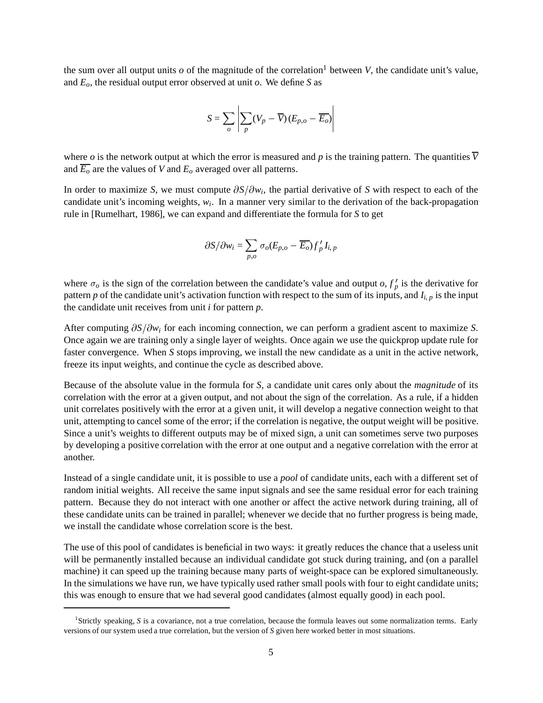the sum over all output units  $\rho$  of the magnitude of the correlation<sup>1</sup> between *V*, the candidate unit's value, and  $E_o$ , the residual output error observed at unit  $o$ . We define *S* as

$$
S = \sum_{o} \left| \sum_{p} (V_p - \overline{V}) (E_{p,o} - \overline{E_o}) \right|
$$

where *o* is the network output at which the error is measured and *p* is the training pattern. The quantities  $\overline{V}$ and  $\overline{E_o}$  are the values of *V* and  $E_o$  averaged over all patterns.

In order to maximize *S*, we must compute  $\partial S/\partial w_i$ , the partial derivative of *S* with respect to each of the candidate unit's incoming weights, *w<sup>i</sup>* . In a manner very similar to the derivation of the back-propagation rule in [Rumelhart, 1986], we can expand and differentiate the formula for *S* to get

$$
\partial S/\partial w_i = \sum_{p,o} \sigma_o (E_{p,o} - \overline{E_o}) f'_p I_{i,p}
$$

where  $\sigma_o$  is the sign of the correlation between the candidate's value and output  $o, f_p'$  is the derivative for pattern  $p$  of the candidate unit's activation function with respect to the sum of its inputs, and  $I_{i, p}$  is the input the candidate unit receives from unit *i* for pattern *p*.

After computing  $\partial S/\partial w_i$  for each incoming connection, we can perform a gradient ascent to maximize *S*. Once again we are training only a single layer of weights. Once again we use the quickprop update rule for faster convergence. When *S* stops improving, we install the new candidate as a unit in the active network, freeze its input weights, and continue the cycle as described above.

Because of the absolute value in the formula for *S*, a candidate unit cares only about the *magnitude* of its correlation with the error at a given output, and not about the sign of the correlation. As a rule, if a hidden unit correlates positively with the error at a given unit, it will develop a negative connection weight to that unit, attempting to cancel some of the error; if the correlation is negative, the output weight will be positive. Since a unit's weights to different outputs may be of mixed sign, a unit can sometimes serve two purposes by developing a positive correlation with the error at one output and a negative correlation with the error at another.

Instead of a single candidate unit, it is possible to use a *pool* of candidate units, each with a different set of random initial weights. All receive the same input signals and see the same residual error for each training pattern. Because they do not interact with one another or affect the active network during training, all of these candidate units can be trained in parallel; whenever we decide that no further progress is being made, we install the candidate whose correlation score is the best.

The use of this pool of candidates is beneficial in two ways: it greatly reduces the chance that a useless unit will be permanently installed because an individual candidate got stuck during training, and (on a parallel machine) it can speed up the training because many parts of weight-space can be explored simultaneously. In the simulations we have run, we have typically used rather small pools with four to eight candidate units; this was enough to ensure that we had several good candidates (almost equally good) in each pool.

<sup>&</sup>lt;sup>1</sup>Strictly speaking, *S* is a covariance, not a true correlation, because the formula leaves out some normalization terms. Early versions of our system used a true correlation, but the version of *S* given here worked better in most situations.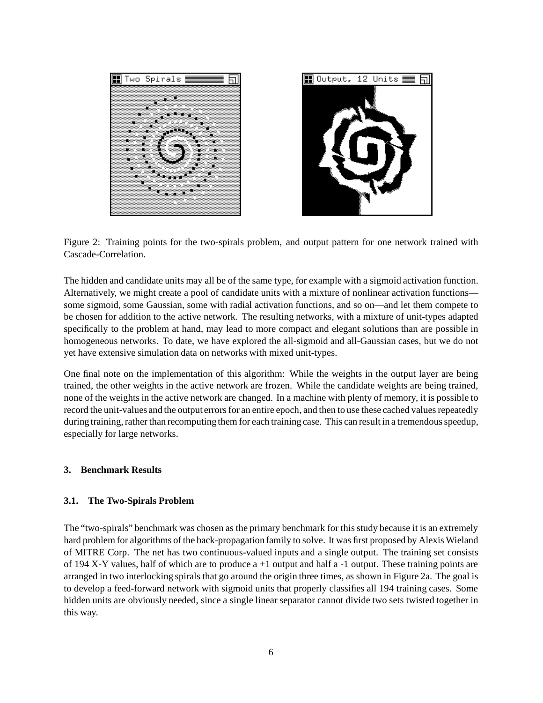





The hidden and candidate units may all be of the same type, for example with a sigmoid activation function. Alternatively, we might create a pool of candidate units with a mixture of nonlinear activation functions some sigmoid, some Gaussian, some with radial activation functions, and so on—and let them compete to be chosen for addition to the active network. The resulting networks, with a mixture of unit-types adapted specifically to the problem at hand, may lead to more compact and elegant solutions than are possible in homogeneous networks. To date, we have explored the all-sigmoid and all-Gaussian cases, but we do not yet have extensive simulation data on networks with mixed unit-types.

One final note on the implementation of this algorithm: While the weights in the output layer are being trained, the other weights in the active network are frozen. While the candidate weights are being trained, none of the weights in the active network are changed. In a machine with plenty of memory, it is possible to record the unit-values and the output errors for an entire epoch, and then to use these cached values repeatedly during training, rather than recomputing them for each training case. This can result in a tremendous speedup, especially for large networks.

# **3. Benchmark Results**

# **3.1. The Two-Spirals Problem**

The "two-spirals" benchmark was chosen as the primary benchmark for thisstudy because it is an extremely hard problem for algorithms of the back-propagation family to solve. It was first proposed by Alexis Wieland of MITRE Corp. The net has two continuous-valued inputs and a single output. The training set consists of 194 X-Y values, half of which are to produce  $a + 1$  output and half a  $-1$  output. These training points are arranged in two interlocking spirals that go around the origin three times, as shown in Figure 2a. The goal is to develop a feed-forward network with sigmoid units that properly classifies all 194 training cases. Some hidden units are obviously needed, since a single linear separator cannot divide two sets twisted together in this way.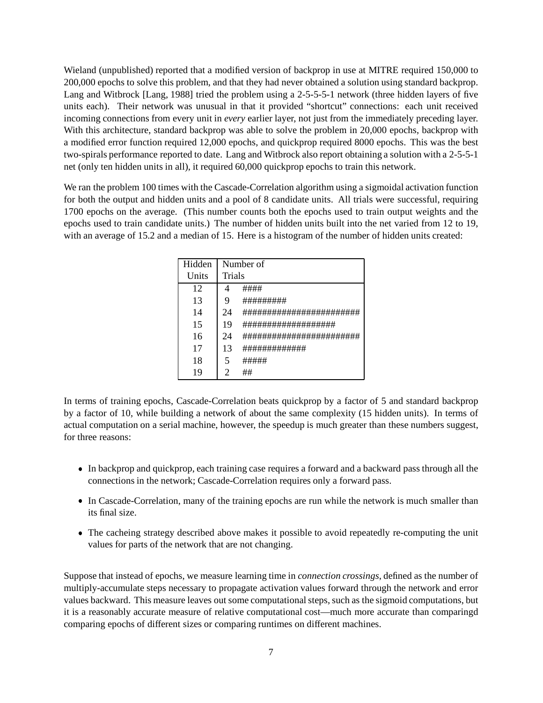Wieland (unpublished) reported that a modified version of backprop in use at MITRE required 150,000 to 200,000 epochs to solve this problem, and that they had never obtained a solution using standard backprop. Lang and Witbrock [Lang, 1988] tried the problem using a 2-5-5-5-1 network (three hidden layers of five units each). Their network was unusual in that it provided "shortcut" connections: each unit received incoming connections from every unit in *every* earlier layer, not just from the immediately preceding layer. With this architecture, standard backprop was able to solve the problem in 20,000 epochs, backprop with a modified error function required 12,000 epochs, and quickprop required 8000 epochs. This was the best two-spirals performance reported to date. Lang and Witbrock also report obtaining a solution with a 2-5-5-1 net (only ten hidden units in all), it required 60,000 quickprop epochs to train this network.

We ran the problem 100 times with the Cascade-Correlation algorithm using a sigmoidal activation function for both the output and hidden units and a pool of 8 candidate units. All trials were successful, requiring 1700 epochs on the average. (This number counts both the epochs used to train output weights and the epochs used to train candidate units.) The number of hidden units built into the net varied from 12 to 19, with an average of 15.2 and a median of 15. Here is a histogram of the number of hidden units created:

| Hidden | Number of |                         |  |
|--------|-----------|-------------------------|--|
| Units  | Trials    |                         |  |
| 12     |           | ####                    |  |
| 13     | 9         | #########               |  |
| 14     | 24        | ####################### |  |
| 15     | 19        | ###################     |  |
| 16     | 24        | ####################    |  |
| 17     | 13        | #############           |  |
| 18     | 5         | #####                   |  |
| 19     |           |                         |  |

In terms of training epochs, Cascade-Correlation beats quickprop by a factor of 5 and standard backprop by a factor of 10, while building a network of about the same complexity (15 hidden units). In terms of actual computation on a serial machine, however, the speedup is much greater than these numbers suggest, for three reasons:

- In backprop and quickprop, each training case requires a forward and a backward passthrough all the connections in the network; Cascade-Correlation requires only a forward pass.
- In Cascade-Correlation, many of the training epochs are run while the network is much smaller than its final size.
- The cacheing strategy described above makes it possible to avoid repeatedly re-computing the unit values for parts of the network that are not changing.

Suppose that instead of epochs, we measure learning time in *connection crossings*, defined as the number of multiply-accumulate steps necessary to propagate activation values forward through the network and error values backward. This measure leaves out some computational steps, such as the sigmoid computations, but it is a reasonably accurate measure of relative computational cost—much more accurate than comparingd comparing epochs of different sizes or comparing runtimes on different machines.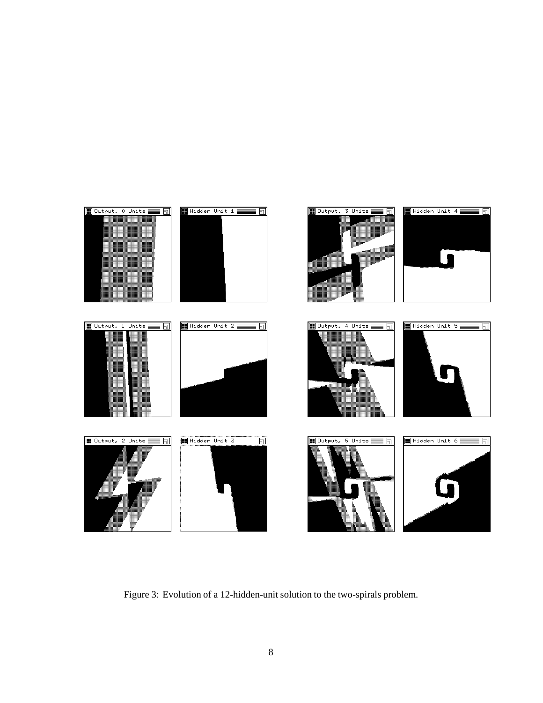

Figure 3: Evolution of a 12-hidden-unit solution to the two-spirals problem.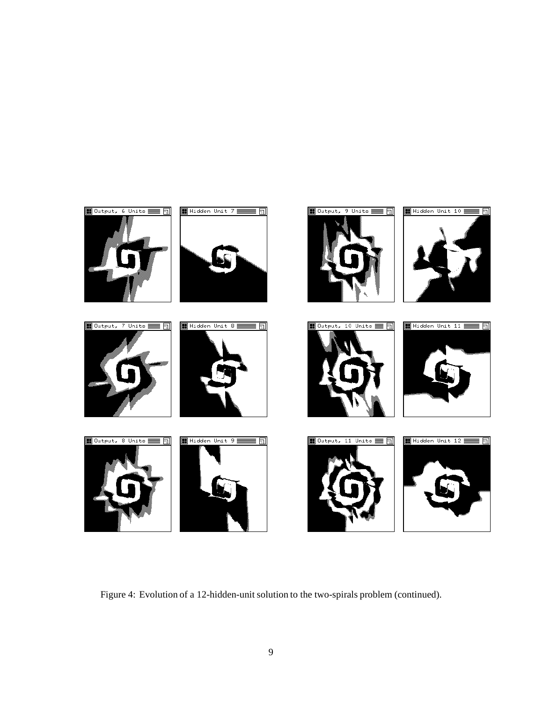

Figure 4: Evolution of a 12-hidden-unit solution to the two-spirals problem (continued).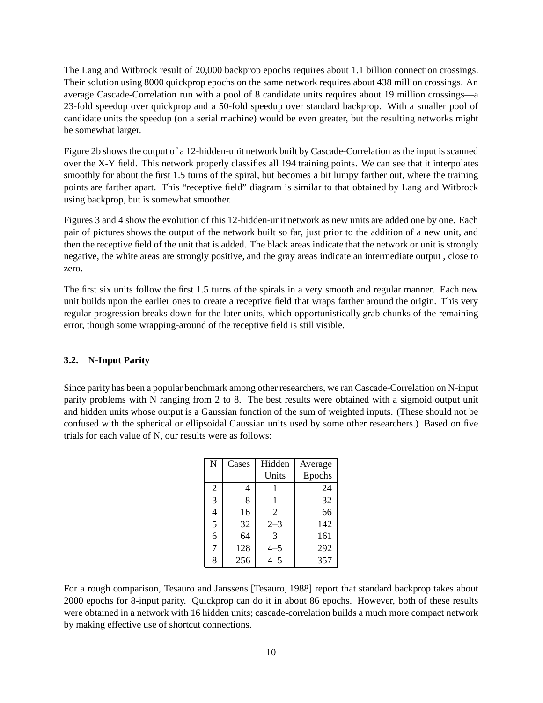The Lang and Witbrock result of 20,000 backprop epochs requires about 1.1 billion connection crossings. Their solution using 8000 quickprop epochs on the same network requires about 438 million crossings. An average Cascade-Correlation run with a pool of 8 candidate units requires about 19 million crossings—a 23-fold speedup over quickprop and a 50-fold speedup over standard backprop. With a smaller pool of candidate units the speedup (on a serial machine) would be even greater, but the resulting networks might be somewhat larger.

Figure 2b shows the output of a 12-hidden-unit network built by Cascade-Correlation as the input is scanned over the X-Y field. This network properly classifies all 194 training points. We can see that it interpolates smoothly for about the first 1.5 turns of the spiral, but becomes a bit lumpy farther out, where the training points are farther apart. This "receptive field" diagram is similar to that obtained by Lang and Witbrock using backprop, but is somewhat smoother.

Figures 3 and 4 show the evolution of this 12-hidden-unit network as new units are added one by one. Each pair of pictures shows the output of the network built so far, just prior to the addition of a new unit, and then the receptive field of the unit that is added. The black areas indicate that the network or unit is strongly negative, the white areas are strongly positive, and the gray areas indicate an intermediate output , close to zero.

The first six units follow the first 1.5 turns of the spirals in a very smooth and regular manner. Each new unit builds upon the earlier ones to create a receptive field that wraps farther around the origin. This very regular progression breaks down for the later units, which opportunistically grab chunks of the remaining error, though some wrapping-around of the receptive field is still visible.

# **3.2. N-Input Parity**

Since parity has been a popular benchmark among other researchers, we ran Cascade-Correlation on N-input parity problems with N ranging from 2 to 8. The best results were obtained with a sigmoid output unit and hidden units whose output is a Gaussian function of the sum of weighted inputs. (These should not be confused with the spherical or ellipsoidal Gaussian units used by some other researchers.) Based on five trials for each value of N, our results were as follows:

| N              | Cases | Hidden  | Average |
|----------------|-------|---------|---------|
|                |       | Units   | Epochs  |
| $\overline{2}$ | 4     |         | 24      |
| 3              | 8     |         | 32      |
| $\overline{4}$ | 16    | 2       | 66      |
| 5              | 32    | $2 - 3$ | 142     |
| 6              | 64    | 3       | 161     |
| 7              | 128   | 4–5     | 292     |
| 8              | 256   | 4–5     | 357     |

For a rough comparison, Tesauro and Janssens [Tesauro, 1988] report that standard backprop takes about 2000 epochs for 8-input parity. Quickprop can do it in about 86 epochs. However, both of these results were obtained in a network with 16 hidden units; cascade-correlation builds a much more compact network by making effective use of shortcut connections.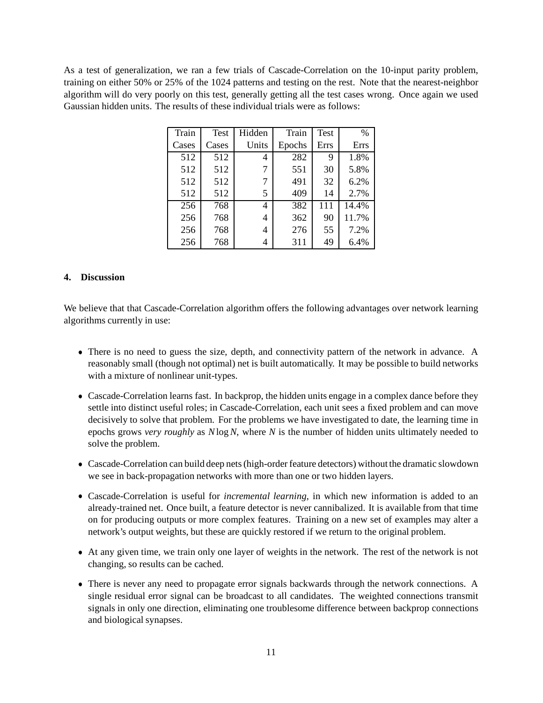As a test of generalization, we ran a few trials of Cascade-Correlation on the 10-input parity problem, training on either 50% or 25% of the 1024 patterns and testing on the rest. Note that the nearest-neighbor algorithm will do very poorly on this test, generally getting all the test cases wrong. Once again we used Gaussian hidden units. The results of these individual trials were as follows:

| Train | Test  | Hidden | Train  | <b>Test</b> | $\%$  |
|-------|-------|--------|--------|-------------|-------|
| Cases | Cases | Units  | Epochs | Errs        | Errs  |
| 512   | 512   | 4      | 282    | 9           | 1.8%  |
| 512   | 512   | 7      | 551    | 30          | 5.8%  |
| 512   | 512   | 7      | 491    | 32          | 6.2%  |
| 512   | 512   | 5      | 409    | 14          | 2.7%  |
| 256   | 768   | 4      | 382    | 111         | 14.4% |
| 256   | 768   | 4      | 362    | 90          | 11.7% |
| 256   | 768   | 4      | 276    | 55          | 7.2%  |
| 256   | 768   |        | 311    | 49          | 6.4%  |

#### **4. Discussion**

We believe that that Cascade-Correlation algorithm offers the following advantages over network learning algorithms currently in use:

- There is no need to guess the size, depth, and connectivity pattern of the network in advance. A reasonably small (though not optimal) net is built automatically. It may be possible to build networks with a mixture of nonlinear unit-types.
- Cascade-Correlation learns fast. In backprop, the hidden units engage in a complex dance before they settle into distinct useful roles; in Cascade-Correlation, each unit sees a fixed problem and can move decisively to solve that problem. For the problems we have investigated to date, the learning time in epochs grows *very roughly* as *N*log*N*, where *N* is the number of hidden units ultimately needed to solve the problem.
- Cascade-Correlation can build deep nets (high-order feature detectors) without the dramatic slowdown we see in back-propagation networks with more than one or two hidden layers.
- Cascade-Correlation is useful for *incremental learning*, in which new information is added to an already-trained net. Once built, a feature detector is never cannibalized. It is available from that time on for producing outputs or more complex features. Training on a new set of examples may alter a network's output weights, but these are quickly restored if we return to the original problem.
- At any given time, we train only one layer of weights in the network. The rest of the network is not changing, so results can be cached.
- There is never any need to propagate error signals backwards through the network connections. A single residual error signal can be broadcast to all candidates. The weighted connections transmit signals in only one direction, eliminating one troublesome difference between backprop connections and biological synapses.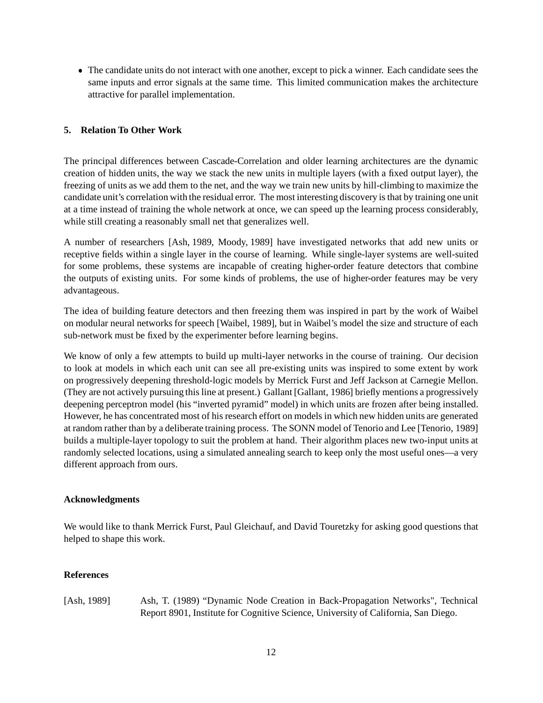The candidate units do not interact with one another, except to pick a winner. Each candidate sees the same inputs and error signals at the same time. This limited communication makes the architecture attractive for parallel implementation.

# **5. Relation To Other Work**

The principal differences between Cascade-Correlation and older learning architectures are the dynamic creation of hidden units, the way we stack the new units in multiple layers (with a fixed output layer), the freezing of units as we add them to the net, and the way we train new units by hill-climbing to maximize the candidate unit's correlation with the residual error. The most interesting discovery isthat by training one unit at a time instead of training the whole network at once, we can speed up the learning process considerably, while still creating a reasonably small net that generalizes well.

A number of researchers [Ash, 1989, Moody, 1989] have investigated networks that add new units or receptive fields within a single layer in the course of learning. While single-layer systems are well-suited for some problems, these systems are incapable of creating higher-order feature detectors that combine the outputs of existing units. For some kinds of problems, the use of higher-order features may be very advantageous.

The idea of building feature detectors and then freezing them was inspired in part by the work of Waibel on modular neural networks for speech [Waibel, 1989], but in Waibel's model the size and structure of each sub-network must be fixed by the experimenter before learning begins.

We know of only a few attempts to build up multi-layer networks in the course of training. Our decision to look at models in which each unit can see all pre-existing units was inspired to some extent by work on progressively deepening threshold-logic models by Merrick Furst and Jeff Jackson at Carnegie Mellon. (They are not actively pursuing thisline at present.) Gallant [Gallant, 1986] briefly mentions a progressively deepening perceptron model (his "inverted pyramid" model) in which units are frozen after being installed. However, he has concentrated most of hisresearch effort on modelsin which new hidden units are generated at random rather than by a deliberate training process. The SONN model of Tenorio and Lee [Tenorio, 1989] builds a multiple-layer topology to suit the problem at hand. Their algorithm places new two-input units at randomly selected locations, using a simulated annealing search to keep only the most useful ones—a very different approach from ours.

# **Acknowledgments**

We would like to thank Merrick Furst, Paul Gleichauf, and David Touretzky for asking good questions that helped to shape this work.

# **References**

[Ash, 1989] Ash, T. (1989) "Dynamic Node Creation in Back-Propagation Networks", Technical Report 8901, Institute for Cognitive Science, University of California, San Diego.